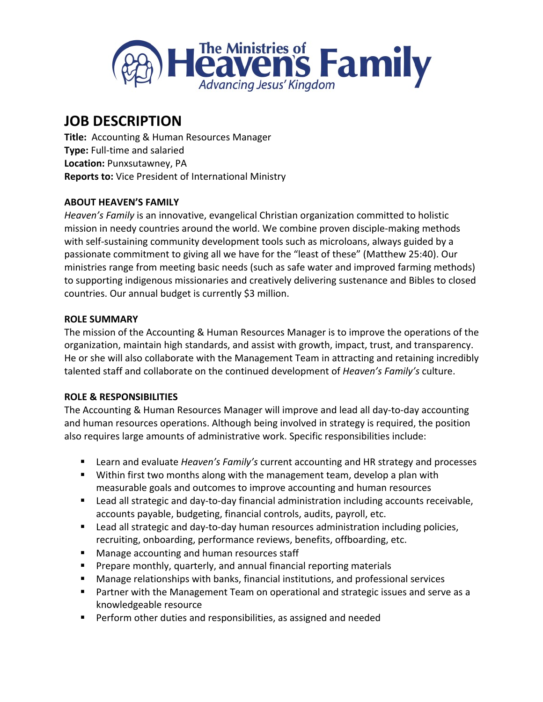

# **JOB DESCRIPTION**

**Title:** Accounting & Human Resources Manager **Type:** Full-time and salaried **Location:** Punxsutawney, PA **Reports to:** Vice President of International Ministry

# **ABOUT HEAVEN'S FAMILY**

*Heaven's Family* is an innovative, evangelical Christian organization committed to holistic mission in needy countries around the world. We combine proven disciple-making methods with self-sustaining community development tools such as microloans, always guided by a passionate commitment to giving all we have for the "least of these" (Matthew 25:40). Our ministries range from meeting basic needs (such as safe water and improved farming methods) to supporting indigenous missionaries and creatively delivering sustenance and Bibles to closed countries. Our annual budget is currently \$3 million.

#### **ROLE SUMMARY**

The mission of the Accounting & Human Resources Manager is to improve the operations of the organization, maintain high standards, and assist with growth, impact, trust, and transparency. He or she will also collaborate with the Management Team in attracting and retaining incredibly talented staff and collaborate on the continued development of *Heaven's Family's* culture.

# **ROLE & RESPONSIBILITIES**

The Accounting & Human Resources Manager will improve and lead all day-to-day accounting and human resources operations. Although being involved in strategy is required, the position also requires large amounts of administrative work. Specific responsibilities include:

- Learn and evaluate *Heaven's Family's* current accounting and HR strategy and processes
- Within first two months along with the management team, develop a plan with measurable goals and outcomes to improve accounting and human resources
- Lead all strategic and day-to-day financial administration including accounts receivable, accounts payable, budgeting, financial controls, audits, payroll, etc.
- Lead all strategic and day-to-day human resources administration including policies, recruiting, onboarding, performance reviews, benefits, offboarding, etc.
- Manage accounting and human resources staff
- Prepare monthly, quarterly, and annual financial reporting materials
- Manage relationships with banks, financial institutions, and professional services
- Partner with the Management Team on operational and strategic issues and serve as a knowledgeable resource
- Perform other duties and responsibilities, as assigned and needed